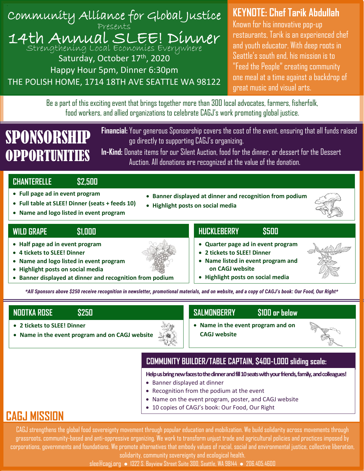

# **KEYNOTE: Chef Tarik Abdullah**

Known for his innovative pop-up restaurants, Tarik is an experienced chef and youth educator. With deep roots in Seattle's south end, his mission is to "Feed the People" creating community one meal at a time against a backdrop of great music and visual arts.

Be a part of this exciting event that brings together more than 300 local advocates, farmers, fisherfolk, food workers, and allied organizations to celebrate CAGJ's work promoting global justice.

# SPONSORSH **OPPORTUNITIES**

**Financial:** Your generous Sponsorship covers the cost of the event, ensuring that all funds raised go directly to supporting CAGJ's organizing.

**In-Kind:** Donate items for our Silent Auction, food for the dinner, or dessert for the Dessert Auction. All donations are recognized at the value of the donation.

## **CHANTERELLE \$2,500**

- **Full page ad in event program**
- **Full table at SLEE! Dinner (seats + feeds 10)**
- **Name and logo listed in event program**

### **WILD GRAPE \$1,000**

- **Half page ad in event program**
- **4 tickets to SLEE! Dinner**
- **Name and logo listed in event program**
- **Highlight posts on social media**
- **Banner displayed at dinner and recognition from podium**

• **Banner displayed at dinner and recognition from podium** • **Highlight posts on social media**



## **HUCKLEBERRY \$500**

- **Quarter page ad in event program**
- **2 tickets to SLEE! Dinner**
- **Name listed in event program and on CAGJ website**
- **Highlight posts on social media**

*\*All Sponsors above \$250 receive recognition in newsletter, promotional materials, and on website, and a copy of CAGJ's book: Our Food, Our Right\** **and logo listed in event program** 

- **2 tickets to SLEE! Dinner**
- **Name in the event program and on CAGJ website**

## **NOOTKA ROSE \$250 SALMONBERRY \$100 or below**

• **Name in the event program and on CAGJ website**



# **COMMUNITY BUILDER/TABLE CAPTAIN, \$400-1,000 sliding scale:**

**Help us bring new faces to the dinner and fill 10 seats with your friends, family, and colleagues!**

- Banner displayed at dinner
- Recognition from the podium at the event
- Name on the event program, poster, and CAGJ website
- 10 copies of CAGJ's book: Our Food, Our Right

# **CAGJ MISSION**

CAGJ strengthens the global food sovereignty movement through popular education and mobilization. We build solidarity across movements through grassroots, community-based and anti-oppressive organizing. We work to transform unjust trade and agricultural policies and practices imposed by corporations, governments and foundations. We promote alternatives that embody values of racial, social and environmental justice, collective liberation, solidarity, community sovereignty and ecological health.